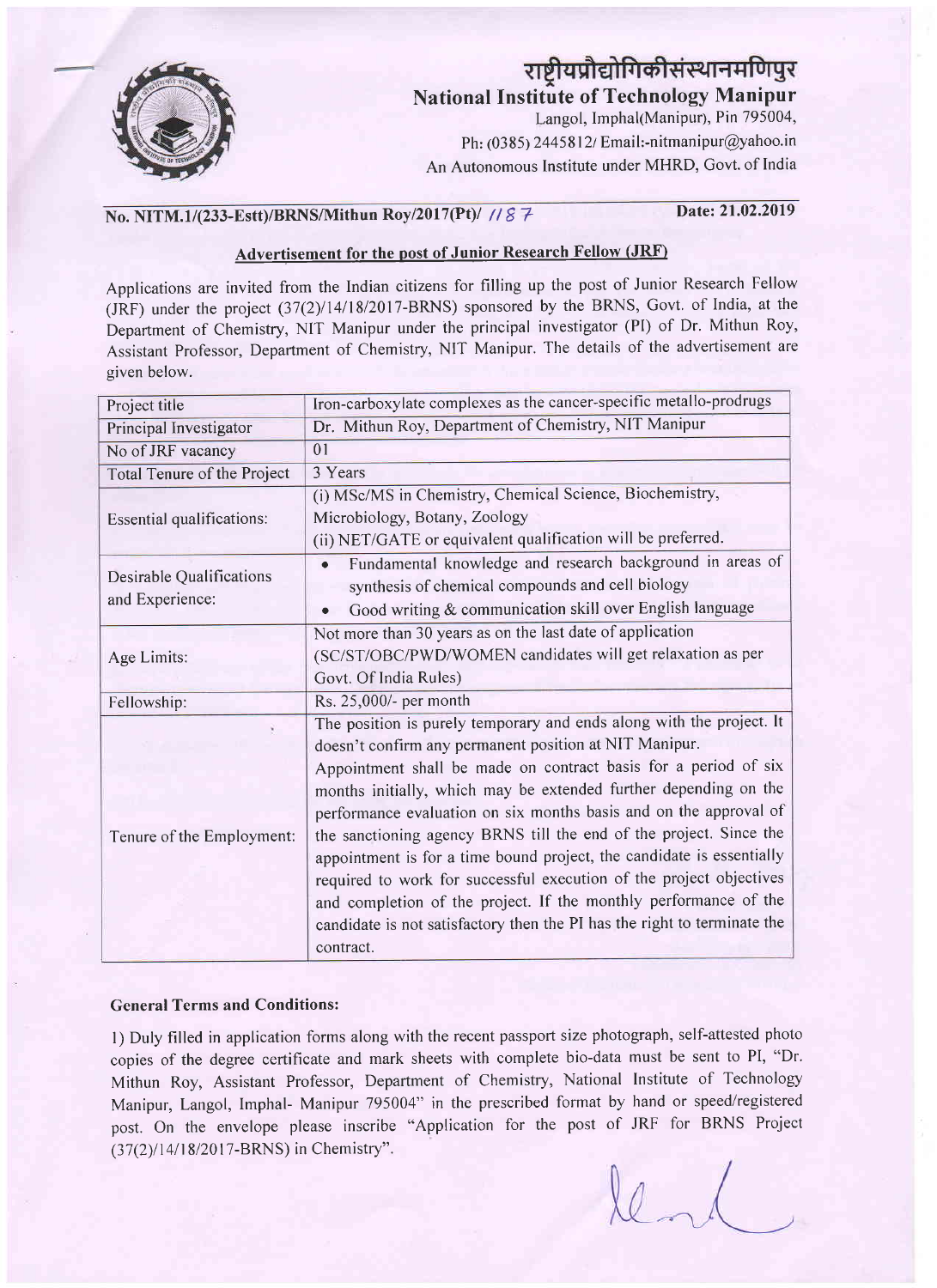

# राष्ट्रीयप्रौद्योगिकीसंस्थानमणिपुर

National Institute of Technology Manipur

Langol, Imphal(Manipur), Pin 795004, Ph:  $(0385)$  2445812/ Email:-nitmanipur@yahoo.in An Autonomous Institute under MHRD, Govt. of India

### No. NITM.1/(233-Estt)/BRNS/Mithun Roy/2017(Pt)/ // & 7 Date: 21.02.2019

#### Advertisement for the post of Junior Research Fellow (JRF)

Applications are invited from the Indian citizens for filling up the post of Junior Research Fellow  $(JRF)$  under the project  $(37(2)/14/18/2017-BRNS)$  sponsored by the BRNS, Govt. of India, at the Depaftment of Chemistry, NIT Manipur under the principal investigator (PI) of Dr. Mithun Roy, Assistant Professor, Department of Chemistry, NIT Manipur. The details of the adveftisement are given below.

| Project title                               | Iron-carboxylate complexes as the cancer-specific metallo-prodrugs       |
|---------------------------------------------|--------------------------------------------------------------------------|
| Principal Investigator                      | Dr. Mithun Roy, Department of Chemistry, NIT Manipur                     |
| No of JRF vacancy                           | 01                                                                       |
| Total Tenure of the Project                 | 3 Years                                                                  |
| <b>Essential qualifications:</b>            | (i) MSc/MS in Chemistry, Chemical Science, Biochemistry,                 |
|                                             | Microbiology, Botany, Zoology                                            |
|                                             | (ii) NET/GATE or equivalent qualification will be preferred.             |
| Desirable Qualifications<br>and Experience: | Fundamental knowledge and research background in areas of<br>$\bullet$   |
|                                             | synthesis of chemical compounds and cell biology                         |
|                                             | Good writing & communication skill over English language<br>$\bullet$    |
| Age Limits:                                 | Not more than 30 years as on the last date of application                |
|                                             | (SC/ST/OBC/PWD/WOMEN candidates will get relaxation as per               |
|                                             | Govt. Of India Rules)                                                    |
| Fellowship:                                 | Rs. 25,000/- per month                                                   |
| Tenure of the Employment:                   | The position is purely temporary and ends along with the project. It     |
|                                             | doesn't confirm any permanent position at NIT Manipur.                   |
|                                             | Appointment shall be made on contract basis for a period of six          |
|                                             | months initially, which may be extended further depending on the         |
|                                             | performance evaluation on six months basis and on the approval of        |
|                                             | the sanctioning agency BRNS till the end of the project. Since the       |
|                                             | appointment is for a time bound project, the candidate is essentially    |
|                                             | required to work for successful execution of the project objectives      |
|                                             | and completion of the project. If the monthly performance of the         |
|                                             | candidate is not satisfactory then the PI has the right to terminate the |
|                                             | contract.                                                                |

#### General Terms and Conditions:

l) Duly filled in application forms along with the recent passport size photograph, self-attested photo copies of the degree certificate and mark sheets with complete bio-data must be sent to PI, "Dr. Mithun Roy, Assistant Professor, Department of Chemistry, National Institute of Technology Manipur, Langol, Imphal- Manipur 795004" in the prescribed format by hand or speed/registered post. On the envelope please inscribe "Application for the post of JRF for BRNS Project (37(2)/14/18/2017-BRNS) in Chemistry".